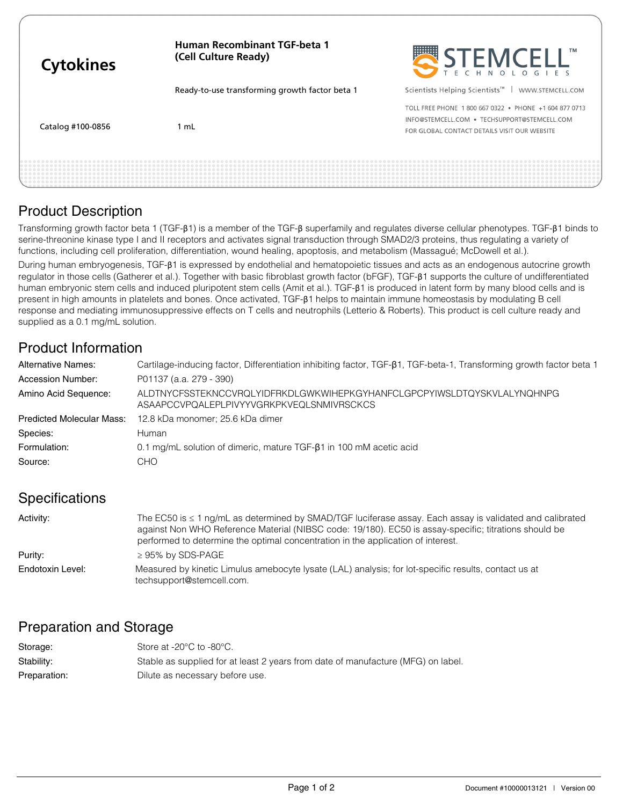| <b>Cytokines</b>  | <b>Human Recombinant TGF-beta 1</b><br>(Cell Culture Ready) | STEMCELL"                                                                                                                                              |
|-------------------|-------------------------------------------------------------|--------------------------------------------------------------------------------------------------------------------------------------------------------|
|                   | Ready-to-use transforming growth factor beta 1              | Scientists Helping Scientists <sup>™</sup><br>WWW.STEMCELL.COM                                                                                         |
| Catalog #100-0856 | l mL                                                        | TOLL FREE PHONE 1 800 667 0322 . PHONE +1 604 877 0713<br>INFO@STEMCELL.COM . TECHSUPPORT@STEMCELL.COM<br>FOR GLOBAL CONTACT DETAILS VISIT OUR WEBSITE |
|                   |                                                             |                                                                                                                                                        |

# Product Description

Transforming growth factor beta 1 (TGF-β1) is a member of the TGF-β superfamily and regulates diverse cellular phenotypes. TGF-β1 binds to serine-threonine kinase type I and II receptors and activates signal transduction through SMAD2/3 proteins, thus regulating a variety of functions, including cell proliferation, differentiation, wound healing, apoptosis, and metabolism (Massagué; McDowell et al.).

During human embryogenesis, TGF-β1 is expressed by endothelial and hematopoietic tissues and acts as an endogenous autocrine growth regulator in those cells (Gatherer et al.). Together with basic fibroblast growth factor (bFGF), TGF-β1 supports the culture of undifferentiated human embryonic stem cells and induced pluripotent stem cells (Amit et al.). TGF-β1 is produced in latent form by many blood cells and is present in high amounts in platelets and bones. Once activated, TGF-β1 helps to maintain immune homeostasis by modulating B cell response and mediating immunosuppressive effects on T cells and neutrophils (Letterio & Roberts). This product is cell culture ready and supplied as a 0.1 mg/mL solution.

# Product Information

| <b>Alternative Names:</b>        | Cartilage-inducing factor, Differentiation inhibiting factor, TGF- $\beta$ 1, TGF-beta-1, Transforming growth factor beta 1 |  |
|----------------------------------|-----------------------------------------------------------------------------------------------------------------------------|--|
| Accession Number:                | P01137 (a.a. 279 - 390)                                                                                                     |  |
| Amino Acid Sequence:             | ALDTNYCFSSTEKNCCVRQLYIDFRKDLGWKWIHEPKGYHANFCLGPCPYIWSLDTQYSKVLALYNQHNPG<br>ASAAPCCVPQALEPLPIVYYVGRKPKVEQLSNMIVRSCKCS        |  |
| <b>Predicted Molecular Mass:</b> | 12.8 kDa monomer; 25.6 kDa dimer                                                                                            |  |
| Species:                         | Human                                                                                                                       |  |
| Formulation:                     | 0.1 mg/mL solution of dimeric, mature TGF-81 in 100 mM acetic acid                                                          |  |
| Source:                          | <b>CHO</b>                                                                                                                  |  |

# **Specifications**

| Activity:        | The EC50 is $\leq 1$ ng/mL as determined by SMAD/TGF luciferase assay. Each assay is validated and calibrated<br>against Non WHO Reference Material (NIBSC code: 19/180). EC50 is assay-specific; titrations should be<br>performed to determine the optimal concentration in the application of interest. |
|------------------|------------------------------------------------------------------------------------------------------------------------------------------------------------------------------------------------------------------------------------------------------------------------------------------------------------|
| Purity:          | $\geq$ 95% by SDS-PAGE                                                                                                                                                                                                                                                                                     |
| Endotoxin Level: | Measured by kinetic Limulus amebocyte lysate (LAL) analysis; for lot-specific results, contact us at<br>techsupport@stemcell.com.                                                                                                                                                                          |

# Preparation and Storage

| Storage:     | Store at -20 $\degree$ C to -80 $\degree$ C.                                     |
|--------------|----------------------------------------------------------------------------------|
| Stability:   | Stable as supplied for at least 2 years from date of manufacture (MFG) on label. |
| Preparation: | Dilute as necessary before use.                                                  |